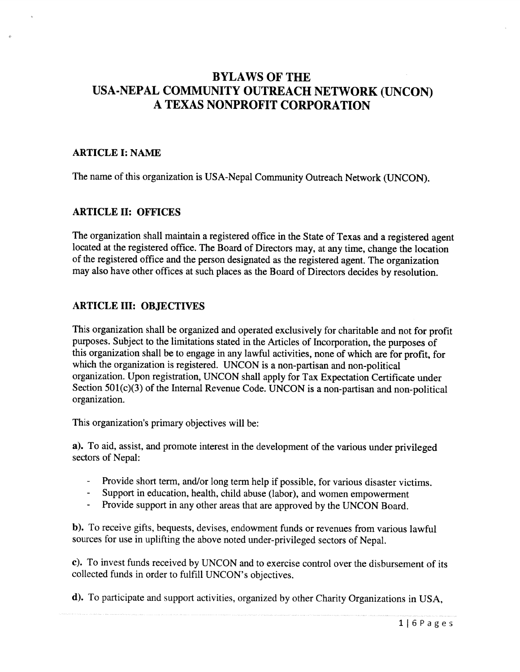# BYLAWS OF THE USA-NEPAL COMMUNITY OUTREACH NETWORK (UNCON) A TEXAS NONPROFIT CORPORATION

### ARTICLE I: NAME

The name of this organization is USA-Nepal Community Outreach Network (UNCON).

### ARTICLE II: OFFICES

The organization shall maintain <sup>a</sup> registered office in the State of Texas and <sup>a</sup> registered agent located at the registered office. The Board of Directors may, at any time, change the location of the registered office and the person designated as the registered agent. The organization may also have other offices at such <sup>p</sup>laces as the Board of Directors decides by resolution.

### ARTICLE III: OBJECTIVES

This organization shall be organized and operated exclusively for charitable and not for profit purposes. Subject to the limitations stated in the Articles of Incorporation, the purposes of this organization shall be to engage in any lawful activities, none of which are for profit, for which the organization is registered. UNCON is <sup>a</sup> non-partisan and non-political organization. Upon registration, UNCON shall apply for Tax Expectation Certificate under Section 501(c)(3) of the Internal Revenue Code. UNCON is a non-partisan and non-political organization.

This organization's primary objectives will be:

a). To aid, assist, and promote interest in the development of the various under privileged sectors of Nepal:

- Provide short term, and/or long term help if possible, for various disaster victims.
- Support in education, health, child abuse (labor), and women empowerment
- Provide support in any other areas that are approved by the UNCON Board.

b). To receive gifts, bequests, devises, endowment funds or revenues from various lawful sources for use in uplifting the above noted under-privileged sectors of Nepal.

c). To invest funds received by UNCON and to exercise control over the disbursement of its collected funds in order to fulfill UNCON's objectives.

d). To participate and support activities, organized by other Charity Organizations in USA,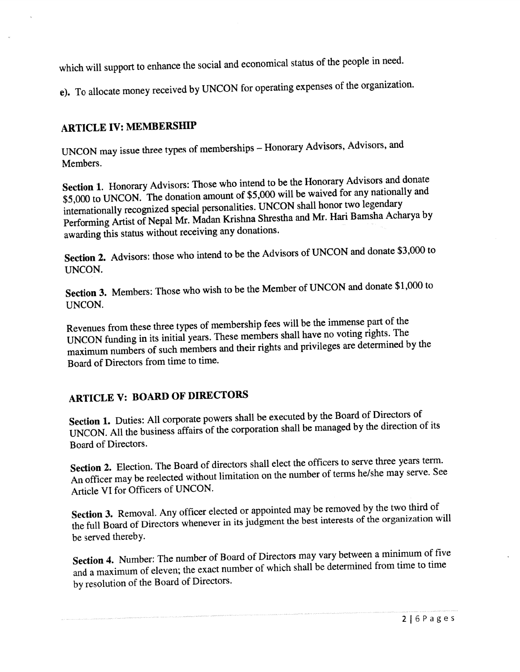which will support to enhance the social and economical status of the people in need.

e). To allocate money received by UNCON for operating expenses of the organization.

# ARTICLE IV: MEMBERSHIP

UNCON may issue three types of memberships — Honorary Advisors, Advisors, and Members.

Section 1. Honorary Advisors: Those who intend to be the Honorary Advisors and donate \$5,000 to UNCON. The donation amount of \$5,000 will be waived for any nationally and internationally recognized special personalities. UNCON shall honor two legendary Performing Artist of Nepal Mr. Madan Krishna Shrestha and Mr. Hari Bamsha Acharya by awarding this status without receiving any donations.

Section 2. Advisors: those who intend to be the Advisors of UNCON and donate \$3,000 to UNCON.

Section 3. Members: Those who wish to be the Member of UNCON and donate \$1,000 to UNCON.

Revenues from these three types of membership fees will be the immense part of the UNCON funding in its initial years. These members shall have no voting rights. The maximum numbers of such members and their rights and privileges are determined by the Board of Directors from time to time.

# ARTICLE V: BOARD OF DIRECTORS

Section 1. Duties: All corporate powers shall be executed by the Board of Directors of UNCON. All the business affairs of the corporation shall be manage<sup>d</sup> by the direction of its Board of Directors.

Section 2. Election. The Board of directors shall elect the officers to serve three years term. An officer may be reelected without limitation on the number of terms he/she may serve. See Article VI for Officers of UNCON.

Section 3. Removal. Any officer elected or appointed may be removed by the two third of the full Board of Directors whenever in its judgment the best interests of the organization will be served thereby.

Section 4. Number: The number of Board of Directors may vary between <sup>a</sup> minimum of five and <sup>a</sup> maximum of eleven; the exact number of which shall be determined from time to time by resolution of the Board of Directors.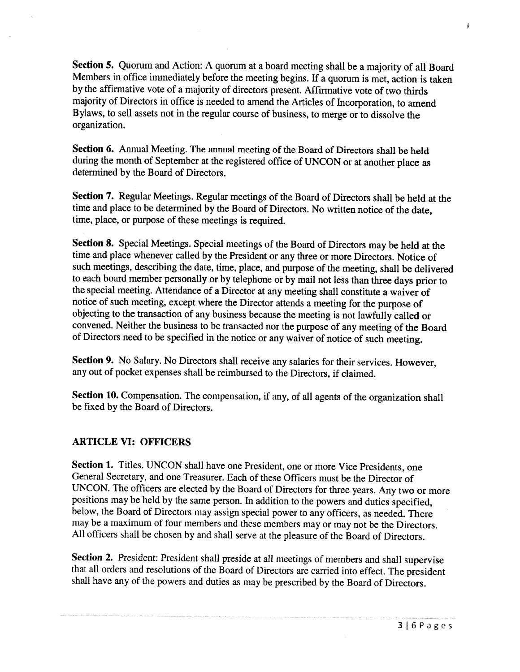Section 5. Quorum and Action: <sup>A</sup> quorum at <sup>a</sup> board meeting shall be <sup>a</sup> majority of all Board Members in office immediately before the meeting begins. If <sup>a</sup> quorum is met, action is taken by the affirmative vote of <sup>a</sup> majority of directors present. Affirmative vote of two thirds majority of Directors in office is needed to amend the Articles of Incorporation, to amend Bylaws, to sell assets not in the regular course of business, to merge or to dissolve the organization.

Section 6. Annual Meeting. The annual meeting of the Board of Directors shall be held during the month of September at the registered office of UNCON or at another <sup>p</sup>lace as determined by the Board of Directors.

Section 7. Regular Meetings. Regular meetings of the Board of Directors shall be held at the time and <sup>p</sup>lace to be determined by the Board of Directors. No written notice of the date, time, <sup>p</sup>lace, or purpose of these meetings is required.

Section 8. Special Meetings. Special meetings of the Board of Directors may be held at the time and <sup>p</sup>lace whenever called by the President or any three or more Directors. Notice of such meetings, describing the date, time, <sup>p</sup>lace, and purpose of the meeting, shall be delivered to each board member personally or by telephone or by mail not less than three days prior to the special meeting. Attendance of <sup>a</sup> Director at any meeting shall constitute <sup>a</sup> waiver of notice of such meeting, except where the Director attends <sup>a</sup> meeting for the purpose of objecting to the transaction of any business because the meeting is not lawfully called or convened. Neither the business to be transacted nor the purpose of any meeting of the Board of Directors need to be specified in the notice or any waiver of notice of such meeting.

Section 9. No Salary. No Directors shall receive any salaries for their services. However, any out of pocket expenses shall be reimbursed to the Directors, if claimed.

Section 10. Compensation. The compensation, if any, of all agents of the organization shall be fixed by the Board of Directors.

### ARTICLE VI: OFFICERS

Section 1. Titles. UNCON shall have one President, one or more Vice Presidents, one General Secretary, and one Treasurer. Each of these Officers must be the Director of UNCON. The officers are elected by the Board of Directors for three years. Any two or more positions may be held by the same person. In addition to the powers and duties specified, below, the Board of Directors may assign special power to any officers, as needed. There may be <sup>a</sup> maximum of four members and these members may or may not be the Directors. All officers shall be chosen by and shall serve at the <sup>p</sup>leasure of the Board of Directors.

Section 2. President: President shall preside at all meetings of members and shall supervise that all orders and resolutions of the Board of Directors are carried into effect. The president shall have any of the powers and duties as may be prescribed by the Board of Directors.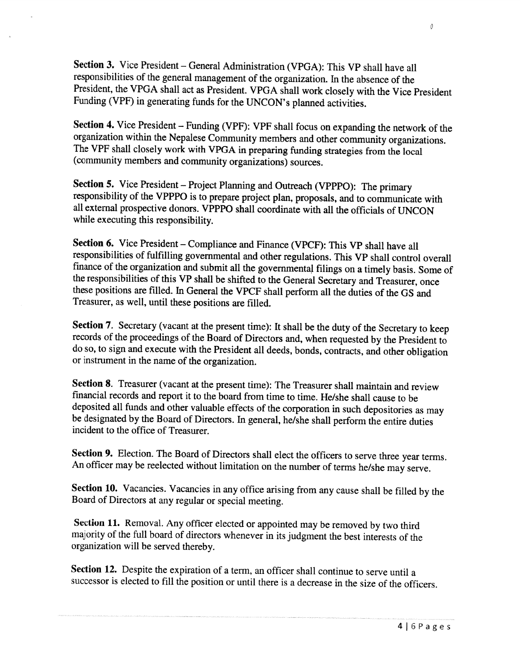Section 3. Vice President — General Administration (VPGA): This VP shall have all responsibilities of the general management of the organization. In the absence of the President, the VPGA shall act as President. VPGA shall work closely with the Vice President Funding (VPF) in generating funds for the UNCON's <sup>p</sup>lanned activities.

Section 4. Vice President — Funding (VPF): VPF shall focus on expanding the network of the organization within the Nepalese Community members and other community organizations. The VPF shall closely work with VPGA in preparing funding strategies from the local (community members and community organizations) sources.

Section 5. Vice President — Project Planning and Outreach (VPPPO): The primary responsibility of the VPPPO is to prepare project <sup>p</sup>lan, proposals, and to communicate with all external prospective donors. VPPPO shall coordinate with all the officials of UNCON while executing this responsibility.

Section 6. Vice President — Compliance and Finance (VPCF): This VP shall have all responsibilities of fulfilling governmental and other regulations. This VP shall control overall finance of the organization and submit all the governmental filings on a timely basis. Some of the responsibilities of this VP shall be shifted to the General Secretary and Treasurer, once these positions are filled. In General the VPCF shall perform all the duties of the GS and Treasurer, as well, until these positions are filled.

Section 7. Secretary (vacant at the present time): It shall be the duty of the Secretary to keep records of the proceedings of the Board of Directors and, when requested by the President to do so, to sign and execute with the President all deeds, bonds, contracts, and other obligation or instrument in the name of the organization.

Section 8. Treasurer (vacant at the present time): The Treasurer shall maintain and review fmancial records and report it to the board from time to time. He/she shall cause to be deposited all funds and other valuable effects of the corporation in such depositories as may be designated by the Board of Directors. In general, he/she shall perform the entire duties incident to the office of Treasurer.

Section 9. Election. The Board of Directors shall elect the officers to serve three year terms. An officer may be reelected without limitation on the number of terms he/she may serve.

Section 10. Vacancies. Vacancies in any office arising from any cause shall be filled by the Board of Directors at any regular or special meeting.

Section 11. Removal. Any officer elected or appointed may be removed by two third majority of the full board of directors whenever in its judgment the best interests of the organization will be served thereby.

Section 12. Despite the expiration of <sup>a</sup> term, an officer shall continue to serve until <sup>a</sup> successor is elected to fill the position or until there is <sup>a</sup> decrease in the size of the officers.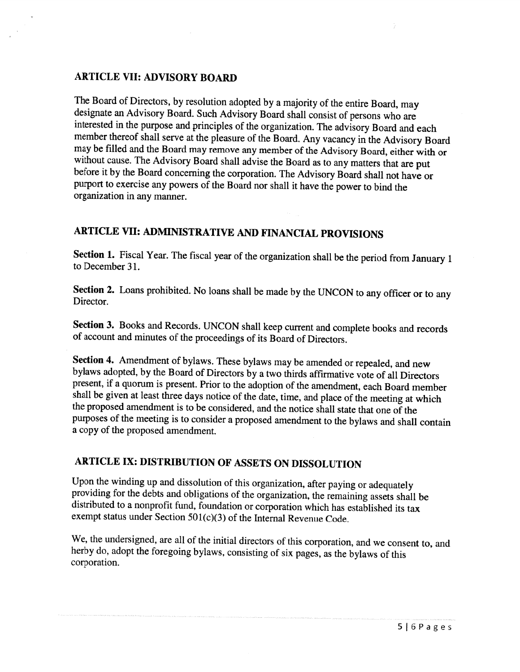### ARTICLE VII: ADVISORY BOARD

The Board of Directors, by resolution adopted by <sup>a</sup> majority of the entire Board, may designate an Advisory Board. Such Advisory Board shall consist of persons who are interested in the purpose and principles of the organization. The advisory Board and each member thereof shall serve at the <sup>p</sup>leasure of the Board. Any vacancy in the Advisory Board may be filled and the Board may remove any member of the Advisory Board, either with or without cause. The Advisory Board shall advise the Board as to any matters that are put before it by the Board concerning the corporation. The Advisory Board shall not have or purport to exercise any powers of the Board nor shall it have the power to bind the organization in any manner.

## ARTICLE VII: ADMINISTRATIVE AND FINANCIAL PROVISIONS

Section 1. Fiscal Year. The fiscal year of the organization shall be the period from January 1 to December 31.

Section 2. Loans prohibited. No loans shall be made by the UNCON to any officer or to any Director.

Section 3. Books and Records. UNCON shall keep current and complete books and records of account and minutes of the proceedings of its Board of Directors.

Section 4. Amendment of bylaws. These bylaws may be amended or repealed, and new bylaws adopted, by the Board of Directors by <sup>a</sup> two thirds affirmative vote of all Directors present, if <sup>a</sup> quorum is present. Prior to the adoption of the amendment, each Board member shall be <sup>g</sup>iven at least three days notice of the date, time, and <sup>p</sup>lace of the meeting at which the proposed amendment is to be considered, and the notice shall state that one of the purposes of the meeting is to consider <sup>a</sup> proposed amendment to the bylaws and shall contain <sup>a</sup> copy of the proposed amendment.

## ARTICLE IX: DISTRIBUTION OF ASSETS ON DISSOLUTION

Upon the winding up and dissolution of this organization, after paying or adequately providing for the debts and obligations of the organization, the remaining assets shall be distributed to <sup>a</sup> nonprofit fund, foundation or corporation which has established its tax exempt status under Section 501(c)(3) of the Internal Revenue Code.

We, the undersigned, are all of the initial directors of this corporation, and we consent to, and herby do, adopt the foregoing bylaws, consisting of six pages, as the bylaws of this corporation.